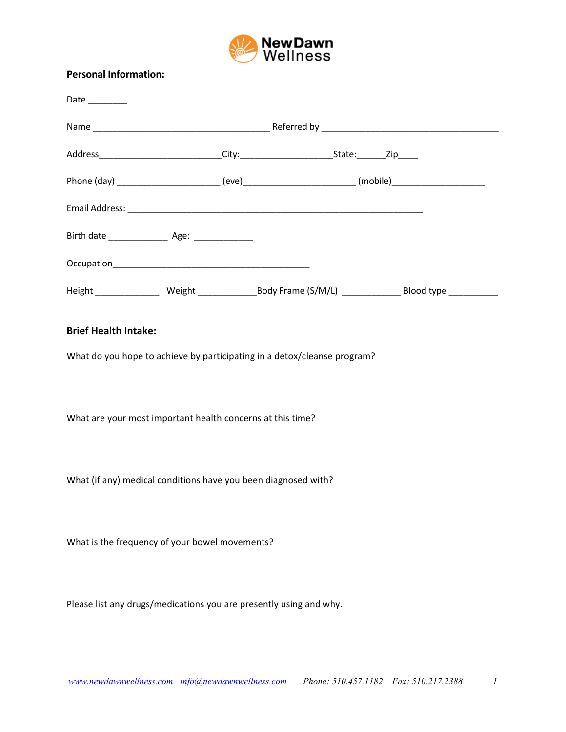

## **Personal Information:**

## **Brief Health Intake:**

What do you hope to achieve by participating in a detox/cleanse program?

What are your most important health concerns at this time?

What (if any) medical conditions have you been diagnosed with?

What is the frequency of your bowel movements?

Please list any drugs/medications you are presently using and why.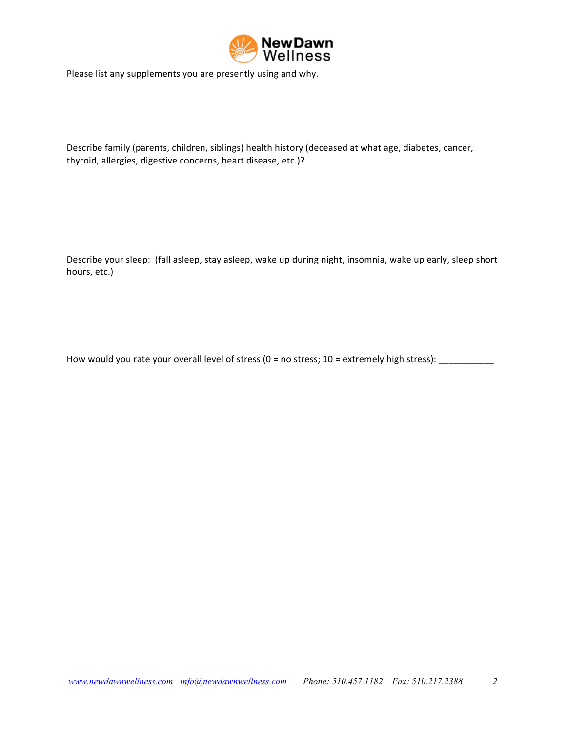

Please list any supplements you are presently using and why.

Describe family (parents, children, siblings) health history (deceased at what age, diabetes, cancer, thyroid, allergies, digestive concerns, heart disease, etc.)?

Describe your sleep: (fall asleep, stay asleep, wake up during night, insomnia, wake up early, sleep short hours, etc.)

How would you rate your overall level of stress  $(0 = no stress; 10 = extremely high stress):$  \_\_\_\_\_\_\_\_\_\_\_\_\_\_\_\_